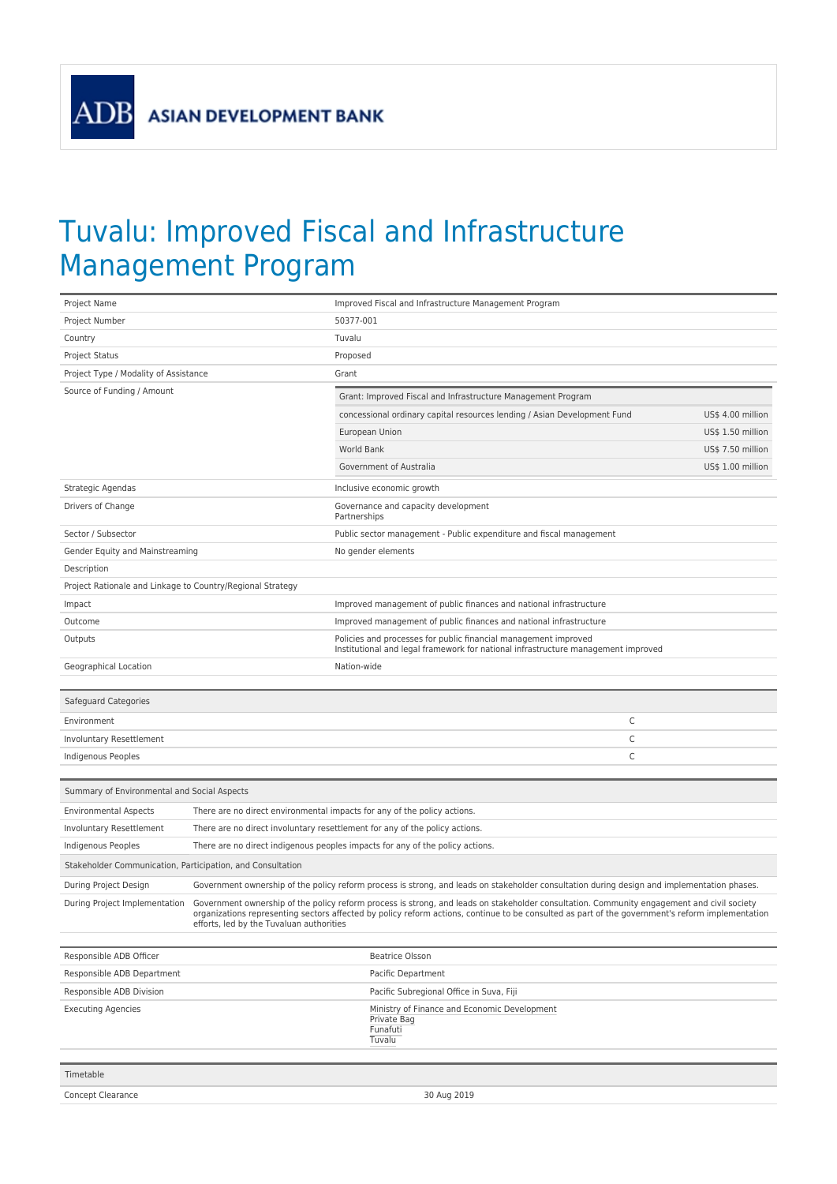ADB

## Tuvalu: Improved Fiscal and Infrastructure Management Program

| Project Name                                                                                                                                                                                                                                                                                                                                                                |                                                                             |             | Improved Fiscal and Infrastructure Management Program                                                                                                |                   |  |
|-----------------------------------------------------------------------------------------------------------------------------------------------------------------------------------------------------------------------------------------------------------------------------------------------------------------------------------------------------------------------------|-----------------------------------------------------------------------------|-------------|------------------------------------------------------------------------------------------------------------------------------------------------------|-------------------|--|
| Project Number                                                                                                                                                                                                                                                                                                                                                              |                                                                             |             | 50377-001                                                                                                                                            |                   |  |
| Country                                                                                                                                                                                                                                                                                                                                                                     |                                                                             | Tuvalu      |                                                                                                                                                      |                   |  |
| Project Status                                                                                                                                                                                                                                                                                                                                                              |                                                                             | Proposed    |                                                                                                                                                      |                   |  |
| Project Type / Modality of Assistance                                                                                                                                                                                                                                                                                                                                       |                                                                             | Grant       |                                                                                                                                                      |                   |  |
| Source of Funding / Amount                                                                                                                                                                                                                                                                                                                                                  |                                                                             |             | Grant: Improved Fiscal and Infrastructure Management Program                                                                                         |                   |  |
|                                                                                                                                                                                                                                                                                                                                                                             |                                                                             |             | concessional ordinary capital resources lending / Asian Development Fund                                                                             | US\$ 4.00 million |  |
|                                                                                                                                                                                                                                                                                                                                                                             |                                                                             |             | European Union                                                                                                                                       | US\$ 1.50 million |  |
|                                                                                                                                                                                                                                                                                                                                                                             |                                                                             | World Bank  |                                                                                                                                                      | US\$ 7.50 million |  |
|                                                                                                                                                                                                                                                                                                                                                                             |                                                                             |             | Government of Australia                                                                                                                              | US\$ 1.00 million |  |
| Strategic Agendas                                                                                                                                                                                                                                                                                                                                                           |                                                                             |             | Inclusive economic growth                                                                                                                            |                   |  |
| Drivers of Change                                                                                                                                                                                                                                                                                                                                                           |                                                                             |             | Governance and capacity development<br>Partnerships                                                                                                  |                   |  |
| Sector / Subsector                                                                                                                                                                                                                                                                                                                                                          |                                                                             |             | Public sector management - Public expenditure and fiscal management                                                                                  |                   |  |
| Gender Equity and Mainstreaming                                                                                                                                                                                                                                                                                                                                             |                                                                             |             | No gender elements                                                                                                                                   |                   |  |
| Description                                                                                                                                                                                                                                                                                                                                                                 |                                                                             |             |                                                                                                                                                      |                   |  |
| Project Rationale and Linkage to Country/Regional Strategy                                                                                                                                                                                                                                                                                                                  |                                                                             |             |                                                                                                                                                      |                   |  |
| Impact                                                                                                                                                                                                                                                                                                                                                                      |                                                                             |             | Improved management of public finances and national infrastructure                                                                                   |                   |  |
| Outcome                                                                                                                                                                                                                                                                                                                                                                     |                                                                             |             | Improved management of public finances and national infrastructure                                                                                   |                   |  |
| Outputs                                                                                                                                                                                                                                                                                                                                                                     |                                                                             |             | Policies and processes for public financial management improved<br>Institutional and legal framework for national infrastructure management improved |                   |  |
| Geographical Location                                                                                                                                                                                                                                                                                                                                                       |                                                                             | Nation-wide |                                                                                                                                                      |                   |  |
|                                                                                                                                                                                                                                                                                                                                                                             |                                                                             |             |                                                                                                                                                      |                   |  |
| Safeguard Categories                                                                                                                                                                                                                                                                                                                                                        |                                                                             |             |                                                                                                                                                      |                   |  |
| Environment                                                                                                                                                                                                                                                                                                                                                                 |                                                                             |             | С                                                                                                                                                    |                   |  |
| Involuntary Resettlement                                                                                                                                                                                                                                                                                                                                                    |                                                                             |             | C                                                                                                                                                    |                   |  |
| Indigenous Peoples                                                                                                                                                                                                                                                                                                                                                          |                                                                             |             | C                                                                                                                                                    |                   |  |
|                                                                                                                                                                                                                                                                                                                                                                             |                                                                             |             |                                                                                                                                                      |                   |  |
| Summary of Environmental and Social Aspects                                                                                                                                                                                                                                                                                                                                 |                                                                             |             |                                                                                                                                                      |                   |  |
| <b>Environmental Aspects</b>                                                                                                                                                                                                                                                                                                                                                | There are no direct environmental impacts for any of the policy actions.    |             |                                                                                                                                                      |                   |  |
| Involuntary Resettlement                                                                                                                                                                                                                                                                                                                                                    | There are no direct involuntary resettlement for any of the policy actions. |             |                                                                                                                                                      |                   |  |
| Indigenous Peoples<br>There are no direct indigenous peoples impacts for any of the policy actions.                                                                                                                                                                                                                                                                         |                                                                             |             |                                                                                                                                                      |                   |  |
| Stakeholder Communication, Participation, and Consultation                                                                                                                                                                                                                                                                                                                  |                                                                             |             |                                                                                                                                                      |                   |  |
| During Project Design<br>Government ownership of the policy reform process is strong, and leads on stakeholder consultation during design and implementation phases.                                                                                                                                                                                                        |                                                                             |             |                                                                                                                                                      |                   |  |
| Government ownership of the policy reform process is strong, and leads on stakeholder consultation. Community engagement and civil society<br>During Project Implementation<br>organizations representing sectors affected by policy reform actions, continue to be consulted as part of the government's reform implementation<br>efforts, led by the Tuvaluan authorities |                                                                             |             |                                                                                                                                                      |                   |  |
| Responsible ADB Officer                                                                                                                                                                                                                                                                                                                                                     |                                                                             |             | <b>Beatrice Olsson</b>                                                                                                                               |                   |  |
| Responsible ADB Department                                                                                                                                                                                                                                                                                                                                                  |                                                                             |             | Pacific Department                                                                                                                                   |                   |  |
| Responsible ADB Division                                                                                                                                                                                                                                                                                                                                                    |                                                                             |             | Pacific Subregional Office in Suva, Fiji                                                                                                             |                   |  |
| <b>Executing Agencies</b>                                                                                                                                                                                                                                                                                                                                                   |                                                                             |             | Ministry of Finance and Economic Development<br>Private Bag<br>Funafuti<br>Tuvalu                                                                    |                   |  |
| Timetable                                                                                                                                                                                                                                                                                                                                                                   |                                                                             |             |                                                                                                                                                      |                   |  |